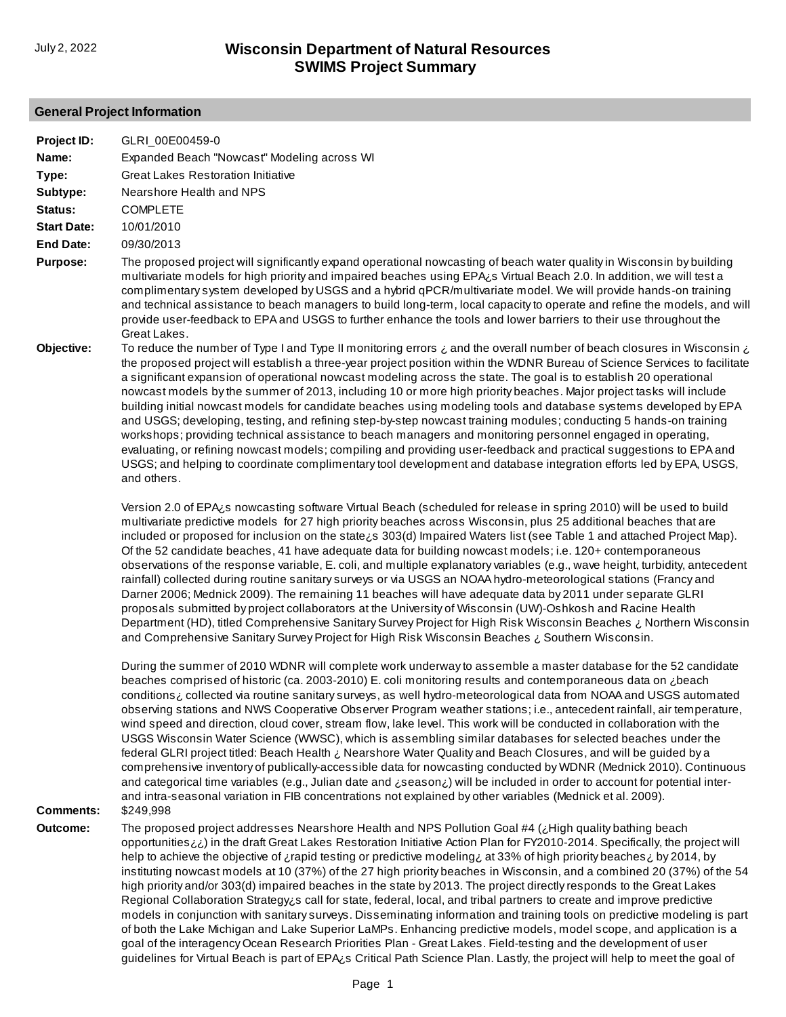# **General Project Information**

| Project ID:        | GLRI_00E00459-0                                                                                                                                                                                                                                                                                                                                                                                                                                                                                                                                                                                                                                                                                                                                                                                                                                                                                                                                                                                                                                                                                                                                                                                                    |
|--------------------|--------------------------------------------------------------------------------------------------------------------------------------------------------------------------------------------------------------------------------------------------------------------------------------------------------------------------------------------------------------------------------------------------------------------------------------------------------------------------------------------------------------------------------------------------------------------------------------------------------------------------------------------------------------------------------------------------------------------------------------------------------------------------------------------------------------------------------------------------------------------------------------------------------------------------------------------------------------------------------------------------------------------------------------------------------------------------------------------------------------------------------------------------------------------------------------------------------------------|
| Name:              | Expanded Beach "Nowcast" Modeling across WI                                                                                                                                                                                                                                                                                                                                                                                                                                                                                                                                                                                                                                                                                                                                                                                                                                                                                                                                                                                                                                                                                                                                                                        |
| Type:              | <b>Great Lakes Restoration Initiative</b>                                                                                                                                                                                                                                                                                                                                                                                                                                                                                                                                                                                                                                                                                                                                                                                                                                                                                                                                                                                                                                                                                                                                                                          |
| Subtype:           | Nearshore Health and NPS                                                                                                                                                                                                                                                                                                                                                                                                                                                                                                                                                                                                                                                                                                                                                                                                                                                                                                                                                                                                                                                                                                                                                                                           |
| Status:            | <b>COMPLETE</b>                                                                                                                                                                                                                                                                                                                                                                                                                                                                                                                                                                                                                                                                                                                                                                                                                                                                                                                                                                                                                                                                                                                                                                                                    |
| <b>Start Date:</b> | 10/01/2010                                                                                                                                                                                                                                                                                                                                                                                                                                                                                                                                                                                                                                                                                                                                                                                                                                                                                                                                                                                                                                                                                                                                                                                                         |
| <b>End Date:</b>   | 09/30/2013                                                                                                                                                                                                                                                                                                                                                                                                                                                                                                                                                                                                                                                                                                                                                                                                                                                                                                                                                                                                                                                                                                                                                                                                         |
| <b>Purpose:</b>    | The proposed project will significantly expand operational nowcasting of beach water quality in Wisconsin by building<br>multivariate models for high priority and impaired beaches using EPA¿s Virtual Beach 2.0. In addition, we will test a<br>complimentary system developed by USGS and a hybrid qPCR/multivariate model. We will provide hands-on training<br>and technical assistance to beach managers to build long-term, local capacity to operate and refine the models, and will<br>provide user-feedback to EPA and USGS to further enhance the tools and lower barriers to their use throughout the<br>Great Lakes.                                                                                                                                                                                                                                                                                                                                                                                                                                                                                                                                                                                  |
| Objective:         | To reduce the number of Type I and Type II monitoring errors $\zeta$ and the overall number of beach closures in Wisconsin $\zeta$<br>the proposed project will establish a three-year project position within the WDNR Bureau of Science Services to facilitate<br>a significant expansion of operational nowcast modeling across the state. The goal is to establish 20 operational<br>nowcast models by the summer of 2013, including 10 or more high priority beaches. Major project tasks will include<br>building initial nowcast models for candidate beaches using modeling tools and database systems developed by EPA<br>and USGS; developing, testing, and refining step-by-step nowcast training modules; conducting 5 hands-on training<br>workshops; providing technical assistance to beach managers and monitoring personnel engaged in operating,<br>evaluating, or refining nowcast models; compiling and providing user-feedback and practical suggestions to EPA and<br>USGS; and helping to coordinate complimentary tool development and database integration efforts led by EPA, USGS,<br>and others.                                                                                       |
|                    | Version 2.0 of EPA¿s nowcasting software Virtual Beach (scheduled for release in spring 2010) will be used to build<br>multivariate predictive models for 27 high priority beaches across Wisconsin, plus 25 additional beaches that are<br>included or proposed for inclusion on the state is 303(d) Impaired Waters list (see Table 1 and attached Project Map).<br>Of the 52 candidate beaches, 41 have adequate data for building nowcast models; i.e. 120+ contemporaneous<br>observations of the response variable, E. coli, and multiple explanatory variables (e.g., wave height, turbidity, antecedent<br>rainfall) collected during routine sanitary surveys or via USGS an NOAA hydro-meteorological stations (Francy and<br>Darner 2006; Mednick 2009). The remaining 11 beaches will have adequate data by 2011 under separate GLRI<br>proposals submitted by project collaborators at the University of Wisconsin (UW)-Oshkosh and Racine Health<br>Department (HD), titled Comprehensive Sanitary Survey Project for High Risk Wisconsin Beaches ¿ Northern Wisconsin<br>and Comprehensive Sanitary Survey Project for High Risk Wisconsin Beaches ¿ Southern Wisconsin.                            |
| <b>Comments:</b>   | During the summer of 2010 WDNR will complete work underway to assemble a master database for the 52 candidate<br>beaches comprised of historic (ca. 2003-2010) E. coli monitoring results and contemporaneous data on ¿beach<br>conditions ¿ collected via routine sanitary surveys, as well hydro-meteorological data from NOAA and USGS automated<br>observing stations and NWS Cooperative Observer Program weather stations; i.e., antecedent rainfall, air temperature,<br>wind speed and direction, cloud cover, stream flow, lake level. This work will be conducted in collaboration with the<br>USGS Wisconsin Water Science (WWSC), which is assembling similar databases for selected beaches under the<br>federal GLRI project titled: Beach Health ¿ Nearshore Water Quality and Beach Closures, and will be guided by a<br>comprehensive inventory of publically-accessible data for nowcasting conducted by WDNR (Mednick 2010). Continuous<br>and categorical time variables (e.g., Julian date and ¿season¿) will be included in order to account for potential inter-<br>and intra-seasonal variation in FIB concentrations not explained by other variables (Mednick et al. 2009).<br>\$249,998 |
| Outcome:           | The proposed project addresses Nearshore Health and NPS Pollution Goal #4 (¿High quality bathing beach                                                                                                                                                                                                                                                                                                                                                                                                                                                                                                                                                                                                                                                                                                                                                                                                                                                                                                                                                                                                                                                                                                             |
|                    | opportunities ii) in the draft Great Lakes Restoration Initiative Action Plan for FY2010-2014. Specifically, the project will<br>help to achieve the objective of ¿rapid testing or predictive modeling & at 33% of high priority beaches ¿ by 2014, by<br>instituting nowcast models at 10 (37%) of the 27 high priority beaches in Wisconsin, and a combined 20 (37%) of the 54<br>high priority and/or 303(d) impaired beaches in the state by 2013. The project directly responds to the Great Lakes<br>Regional Collaboration Strategy¿s call for state, federal, local, and tribal partners to create and improve predictive<br>models in conjunction with sanitary surveys. Disseminating information and training tools on predictive modeling is part<br>of both the Lake Michigan and Lake Superior LaMPs. Enhancing predictive models, model scope, and application is a<br>goal of the interagency Ocean Research Priorities Plan - Great Lakes. Field-testing and the development of user<br>guidelines for Virtual Beach is part of EPA¿s Critical Path Science Plan. Lastly, the project will help to meet the goal of                                                                              |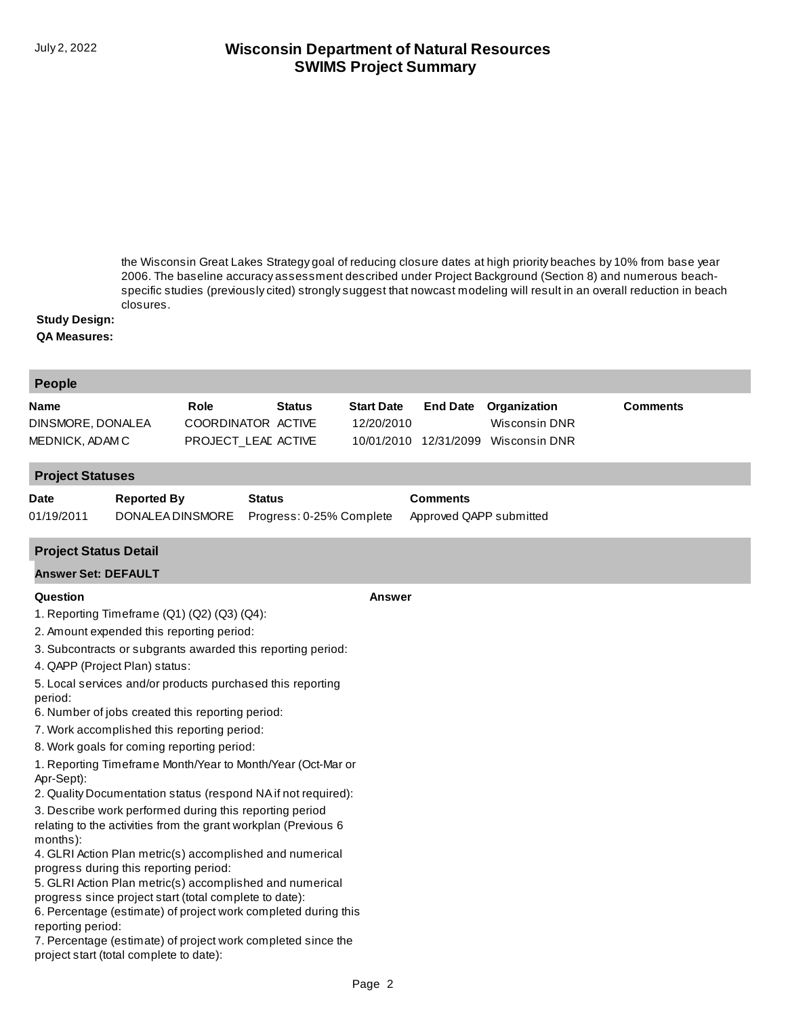## **SWIMS Project Summary** July 2, 2022 **Wisconsin Department of Natural Resources**

the Wisconsin Great Lakes Strategy goal of reducing closure dates at high priority beaches by 10% from base year 2006. The baseline accuracy assessment described under Project Background (Section 8) and numerous beach[specific studies \(previously cited\) strongly suggest that nowcast modeling will result in an overall reduction in beach](http://prodoasint.dnr.wi.gov/swims/viewPlan.do?id=37702678)  closures.

#### **Study Design:**

#### **QA Measures:**

| <b>People</b>                                                                                                                                                                                                                                                                                                                                                                                                                                                                                                                                                                                                                                                                                                                                                                                                                                                                                                                                                                                                                                                                                                                            |                                                            |                                 |                                            |                                                              |                 |
|------------------------------------------------------------------------------------------------------------------------------------------------------------------------------------------------------------------------------------------------------------------------------------------------------------------------------------------------------------------------------------------------------------------------------------------------------------------------------------------------------------------------------------------------------------------------------------------------------------------------------------------------------------------------------------------------------------------------------------------------------------------------------------------------------------------------------------------------------------------------------------------------------------------------------------------------------------------------------------------------------------------------------------------------------------------------------------------------------------------------------------------|------------------------------------------------------------|---------------------------------|--------------------------------------------|--------------------------------------------------------------|-----------------|
| <b>Role</b><br>Name<br>DINSMORE, DONALEA<br>MEDNICK, ADAM C                                                                                                                                                                                                                                                                                                                                                                                                                                                                                                                                                                                                                                                                                                                                                                                                                                                                                                                                                                                                                                                                              | <b>Status</b><br>COORDINATOR ACTIVE<br>PROJECT_LEAE ACTIVE | <b>Start Date</b><br>12/20/2010 | <b>End Date</b><br>10/01/2010 12/31/2099   | Organization<br><b>Wisconsin DNR</b><br><b>Wisconsin DNR</b> | <b>Comments</b> |
| <b>Project Statuses</b>                                                                                                                                                                                                                                                                                                                                                                                                                                                                                                                                                                                                                                                                                                                                                                                                                                                                                                                                                                                                                                                                                                                  |                                                            |                                 |                                            |                                                              |                 |
| <b>Reported By</b><br>Date<br>01/19/2011<br>DONALEA DINSMORE                                                                                                                                                                                                                                                                                                                                                                                                                                                                                                                                                                                                                                                                                                                                                                                                                                                                                                                                                                                                                                                                             | <b>Status</b><br>Progress: 0-25% Complete                  |                                 | <b>Comments</b><br>Approved QAPP submitted |                                                              |                 |
| <b>Project Status Detail</b>                                                                                                                                                                                                                                                                                                                                                                                                                                                                                                                                                                                                                                                                                                                                                                                                                                                                                                                                                                                                                                                                                                             |                                                            |                                 |                                            |                                                              |                 |
| <b>Answer Set: DEFAULT</b>                                                                                                                                                                                                                                                                                                                                                                                                                                                                                                                                                                                                                                                                                                                                                                                                                                                                                                                                                                                                                                                                                                               |                                                            |                                 |                                            |                                                              |                 |
| Question                                                                                                                                                                                                                                                                                                                                                                                                                                                                                                                                                                                                                                                                                                                                                                                                                                                                                                                                                                                                                                                                                                                                 |                                                            | <b>Answer</b>                   |                                            |                                                              |                 |
| 1. Reporting Timeframe (Q1) (Q2) (Q3) (Q4):<br>2. Amount expended this reporting period:<br>3. Subcontracts or subgrants awarded this reporting period:<br>4. QAPP (Project Plan) status:<br>5. Local services and/or products purchased this reporting<br>period:<br>6. Number of jobs created this reporting period:<br>7. Work accomplished this reporting period:<br>8. Work goals for coming reporting period:<br>1. Reporting Timeframe Month/Year to Month/Year (Oct-Mar or<br>Apr-Sept):<br>2. Quality Documentation status (respond NA if not required):<br>3. Describe work performed during this reporting period<br>relating to the activities from the grant workplan (Previous 6<br>months):<br>4. GLRI Action Plan metric(s) accomplished and numerical<br>progress during this reporting period:<br>5. GLRI Action Plan metric(s) accomplished and numerical<br>progress since project start (total complete to date):<br>6. Percentage (estimate) of project work completed during this<br>reporting period:<br>7. Percentage (estimate) of project work completed since the<br>project start (total complete to date): |                                                            |                                 |                                            |                                                              |                 |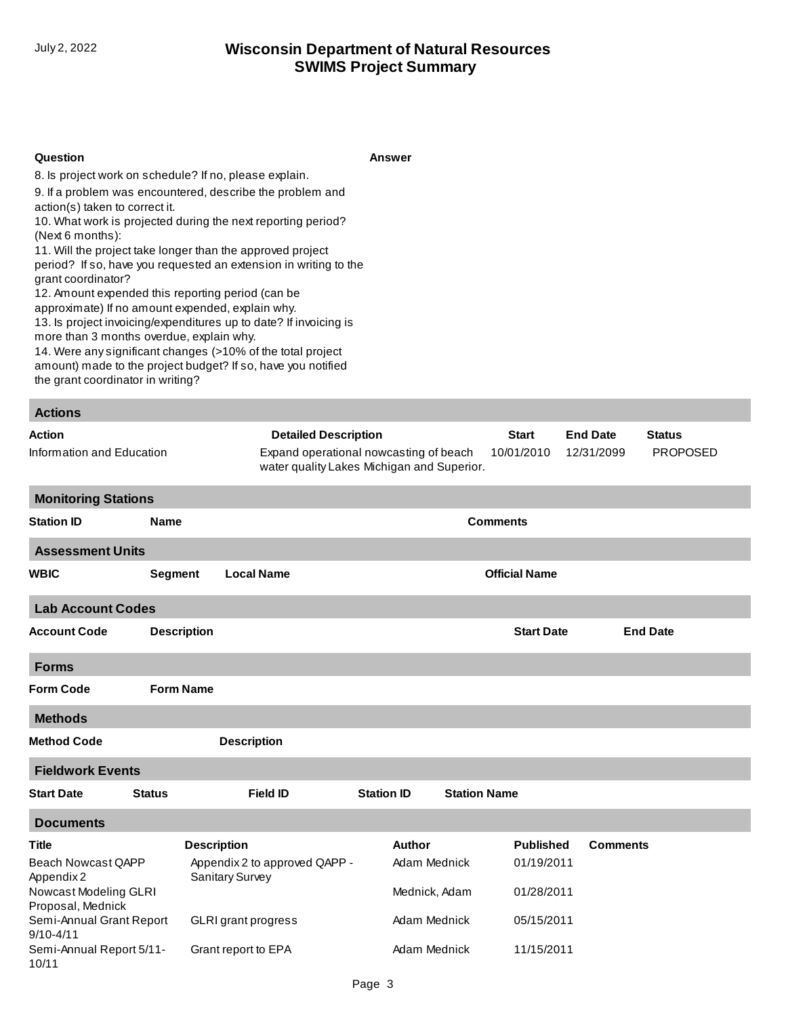## **SWIMS Project Summary** July 2, 2022 **Wisconsin Department of Natural Resources**

#### **Question Answer**

8. Is project work on schedule? If no, please explain.

9. If a problem was encountered, describe the problem and action(s) taken to correct it.

10. What work is projected during the next reporting period? (Next 6 months):

11. Will the project take longer than the approved project period? If so, have you requested an extension in writing to the grant coordinator?

12. Amount expended this reporting period (can be

approximate) If no amount expended, explain why.

13. Is project invoicing/expenditures up to date? If invoicing is

more than 3 months overdue, explain why.

14. Were any significant changes (>10% of the total project amount) made to the project budget? If so, have you notified the grant coordinator in writing?

| <b>Actions</b>             |                                                                                      |              |                 |                 |  |
|----------------------------|--------------------------------------------------------------------------------------|--------------|-----------------|-----------------|--|
| Action                     | <b>Detailed Description</b>                                                          | <b>Start</b> | <b>End Date</b> | <b>Status</b>   |  |
| Information and Education  | Expand operational nowcasting of beach<br>water quality Lakes Michigan and Superior. | 10/01/2010   | 12/31/2099      | <b>PROPOSED</b> |  |
| <b>Monitoring Stations</b> |                                                                                      |              |                 |                 |  |
|                            |                                                                                      |              |                 |                 |  |

| <b>Station ID</b>                         |                    | <b>Name</b><br><b>Comments</b>                      |                               |                     |                                |                 |  |
|-------------------------------------------|--------------------|-----------------------------------------------------|-------------------------------|---------------------|--------------------------------|-----------------|--|
| <b>Assessment Units</b>                   |                    |                                                     |                               |                     |                                |                 |  |
| <b>WBIC</b>                               | <b>Segment</b>     | <b>Local Name</b>                                   |                               |                     | <b>Official Name</b>           |                 |  |
| <b>Lab Account Codes</b>                  |                    |                                                     |                               |                     |                                |                 |  |
| <b>Account Code</b>                       | <b>Description</b> |                                                     |                               |                     | <b>Start Date</b>              | <b>End Date</b> |  |
| <b>Forms</b>                              |                    |                                                     |                               |                     |                                |                 |  |
| <b>Form Code</b>                          | <b>Form Name</b>   |                                                     |                               |                     |                                |                 |  |
| <b>Methods</b>                            |                    |                                                     |                               |                     |                                |                 |  |
| <b>Method Code</b>                        |                    | <b>Description</b>                                  |                               |                     |                                |                 |  |
| <b>Fieldwork Events</b>                   |                    |                                                     |                               |                     |                                |                 |  |
| <b>Start Date</b>                         | <b>Status</b>      | <b>Field ID</b>                                     | <b>Station ID</b>             | <b>Station Name</b> |                                |                 |  |
| <b>Documents</b>                          |                    |                                                     |                               |                     |                                |                 |  |
| <b>Title</b><br><b>Beach Nowcast QAPP</b> |                    | <b>Description</b><br>Appendix 2 to approved QAPP - | <b>Author</b><br>Adam Mednick |                     | <b>Published</b><br>01/19/2011 | <b>Comments</b> |  |

| <b>Title</b>                               | <b>Description</b>                                      | Author        | <b>Published</b> | <b>Comments</b> |
|--------------------------------------------|---------------------------------------------------------|---------------|------------------|-----------------|
| Beach Nowcast QAPP<br>Appendix 2           | Appendix 2 to approved QAPP -<br><b>Sanitary Survey</b> | Adam Mednick  | 01/19/2011       |                 |
| Nowcast Modeling GLRI<br>Proposal, Mednick |                                                         | Mednick, Adam | 01/28/2011       |                 |
| Semi-Annual Grant Report<br>$9/10 - 4/11$  | <b>GLRI</b> grant progress                              | Adam Mednick  | 05/15/2011       |                 |
| Semi-Annual Report 5/11-<br>10/11          | Grant report to EPA                                     | Adam Mednick  | 11/15/2011       |                 |